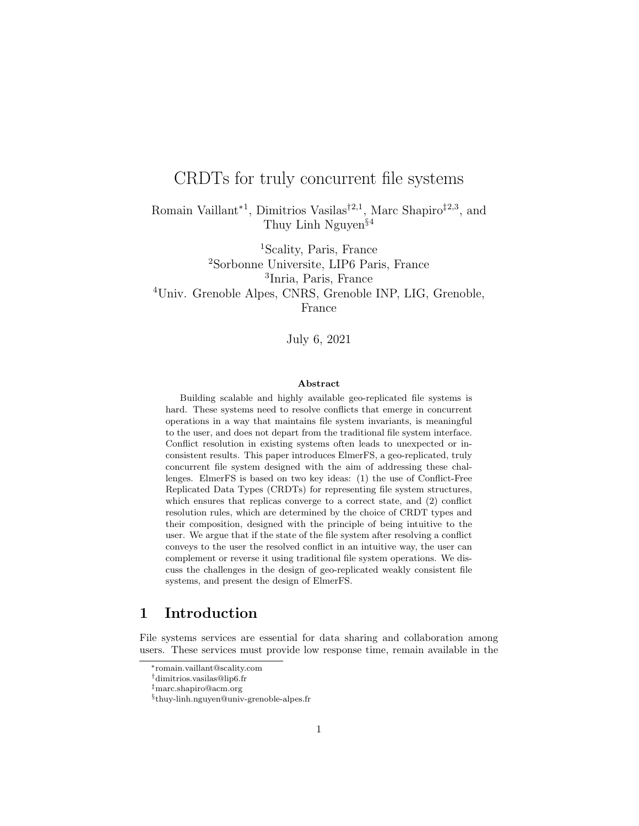# CRDTs for truly concurrent file systems

Romain Vaillant<sup>∗1</sup>, Dimitrios Vasilas<sup>†2,1</sup>, Marc Shapiro<sup>‡2,3</sup>, and Thuy Linh Nguyen§<sup>4</sup>

Scality, Paris, France Sorbonne Universite, LIP6 Paris, France Inria, Paris, France Univ. Grenoble Alpes, CNRS, Grenoble INP, LIG, Grenoble, France

July 6, 2021

### Abstract

Building scalable and highly available geo-replicated file systems is hard. These systems need to resolve conflicts that emerge in concurrent operations in a way that maintains file system invariants, is meaningful to the user, and does not depart from the traditional file system interface. Conflict resolution in existing systems often leads to unexpected or inconsistent results. This paper introduces ElmerFS, a geo-replicated, truly concurrent file system designed with the aim of addressing these challenges. ElmerFS is based on two key ideas: (1) the use of Conflict-Free Replicated Data Types (CRDTs) for representing file system structures, which ensures that replicas converge to a correct state, and (2) conflict resolution rules, which are determined by the choice of CRDT types and their composition, designed with the principle of being intuitive to the user. We argue that if the state of the file system after resolving a conflict conveys to the user the resolved conflict in an intuitive way, the user can complement or reverse it using traditional file system operations. We discuss the challenges in the design of geo-replicated weakly consistent file systems, and present the design of ElmerFS.

# 1 Introduction

File systems services are essential for data sharing and collaboration among users. These services must provide low response time, remain available in the

<sup>∗</sup>romain.vaillant@scality.com

<sup>†</sup>dimitrios.vasilas@lip6.fr

<sup>‡</sup>marc.shapiro@acm.org

<sup>§</sup> thuy-linh.nguyen@univ-grenoble-alpes.fr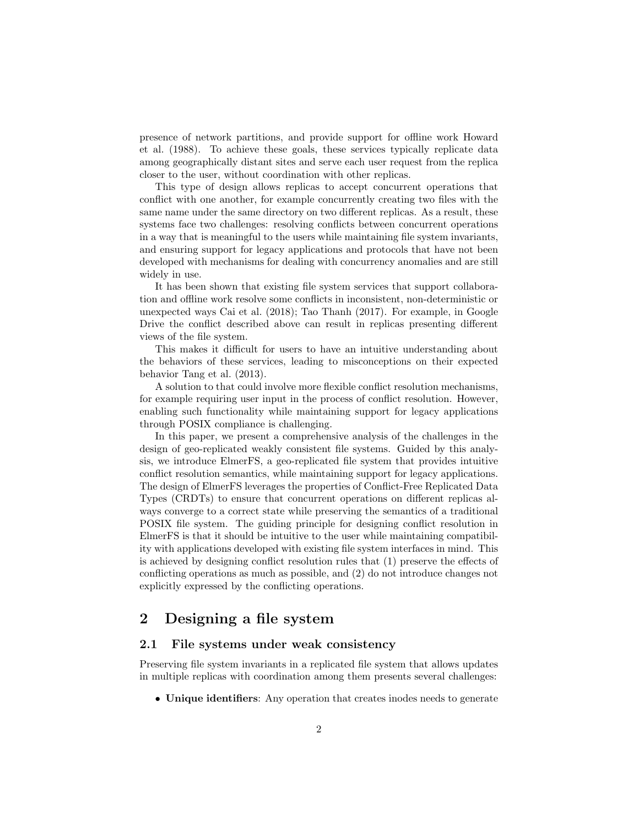presence of network partitions, and provide support for offline work Howard et al. (1988). To achieve these goals, these services typically replicate data among geographically distant sites and serve each user request from the replica closer to the user, without coordination with other replicas.

This type of design allows replicas to accept concurrent operations that conflict with one another, for example concurrently creating two files with the same name under the same directory on two different replicas. As a result, these systems face two challenges: resolving conflicts between concurrent operations in a way that is meaningful to the users while maintaining file system invariants, and ensuring support for legacy applications and protocols that have not been developed with mechanisms for dealing with concurrency anomalies and are still widely in use.

It has been shown that existing file system services that support collaboration and offline work resolve some conflicts in inconsistent, non-deterministic or unexpected ways Cai et al. (2018); Tao Thanh (2017). For example, in Google Drive the conflict described above can result in replicas presenting different views of the file system.

This makes it difficult for users to have an intuitive understanding about the behaviors of these services, leading to misconceptions on their expected behavior Tang et al. (2013).

A solution to that could involve more flexible conflict resolution mechanisms, for example requiring user input in the process of conflict resolution. However, enabling such functionality while maintaining support for legacy applications through POSIX compliance is challenging.

In this paper, we present a comprehensive analysis of the challenges in the design of geo-replicated weakly consistent file systems. Guided by this analysis, we introduce ElmerFS, a geo-replicated file system that provides intuitive conflict resolution semantics, while maintaining support for legacy applications. The design of ElmerFS leverages the properties of Conflict-Free Replicated Data Types (CRDTs) to ensure that concurrent operations on different replicas always converge to a correct state while preserving the semantics of a traditional POSIX file system. The guiding principle for designing conflict resolution in ElmerFS is that it should be intuitive to the user while maintaining compatibility with applications developed with existing file system interfaces in mind. This is achieved by designing conflict resolution rules that (1) preserve the effects of conflicting operations as much as possible, and (2) do not introduce changes not explicitly expressed by the conflicting operations.

# 2 Designing a file system

### 2.1 File systems under weak consistency

Preserving file system invariants in a replicated file system that allows updates in multiple replicas with coordination among them presents several challenges:

• Unique identifiers: Any operation that creates inodes needs to generate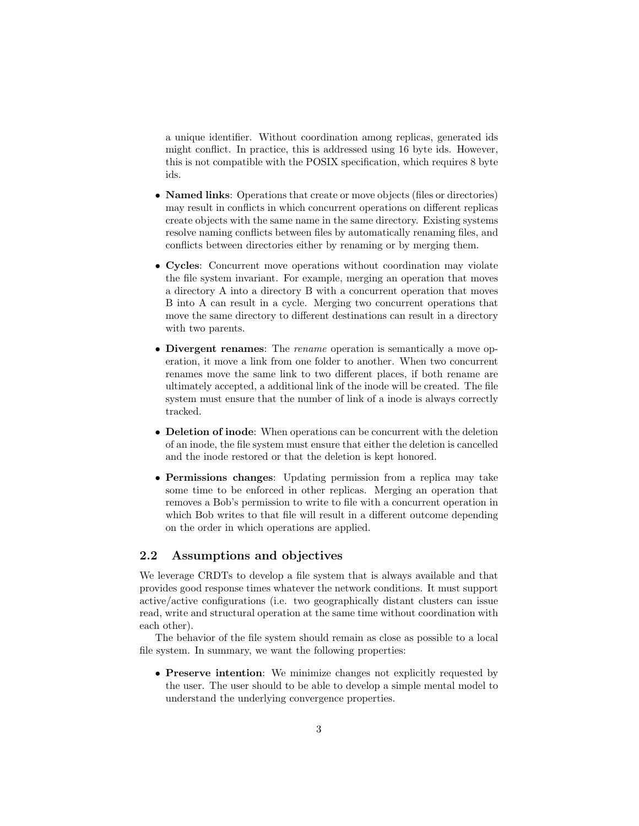a unique identifier. Without coordination among replicas, generated ids might conflict. In practice, this is addressed using 16 byte ids. However, this is not compatible with the POSIX specification, which requires 8 byte ids.

- Named links: Operations that create or move objects (files or directories) may result in conflicts in which concurrent operations on different replicas create objects with the same name in the same directory. Existing systems resolve naming conflicts between files by automatically renaming files, and conflicts between directories either by renaming or by merging them.
- Cycles: Concurrent move operations without coordination may violate the file system invariant. For example, merging an operation that moves a directory A into a directory B with a concurrent operation that moves B into A can result in a cycle. Merging two concurrent operations that move the same directory to different destinations can result in a directory with two parents.
- Divergent renames: The rename operation is semantically a move operation, it move a link from one folder to another. When two concurrent renames move the same link to two different places, if both rename are ultimately accepted, a additional link of the inode will be created. The file system must ensure that the number of link of a inode is always correctly tracked.
- Deletion of inode: When operations can be concurrent with the deletion of an inode, the file system must ensure that either the deletion is cancelled and the inode restored or that the deletion is kept honored.
- Permissions changes: Updating permission from a replica may take some time to be enforced in other replicas. Merging an operation that removes a Bob's permission to write to file with a concurrent operation in which Bob writes to that file will result in a different outcome depending on the order in which operations are applied.

### 2.2 Assumptions and objectives

We leverage CRDTs to develop a file system that is always available and that provides good response times whatever the network conditions. It must support active/active configurations (i.e. two geographically distant clusters can issue read, write and structural operation at the same time without coordination with each other).

The behavior of the file system should remain as close as possible to a local file system. In summary, we want the following properties:

• Preserve intention: We minimize changes not explicitly requested by the user. The user should to be able to develop a simple mental model to understand the underlying convergence properties.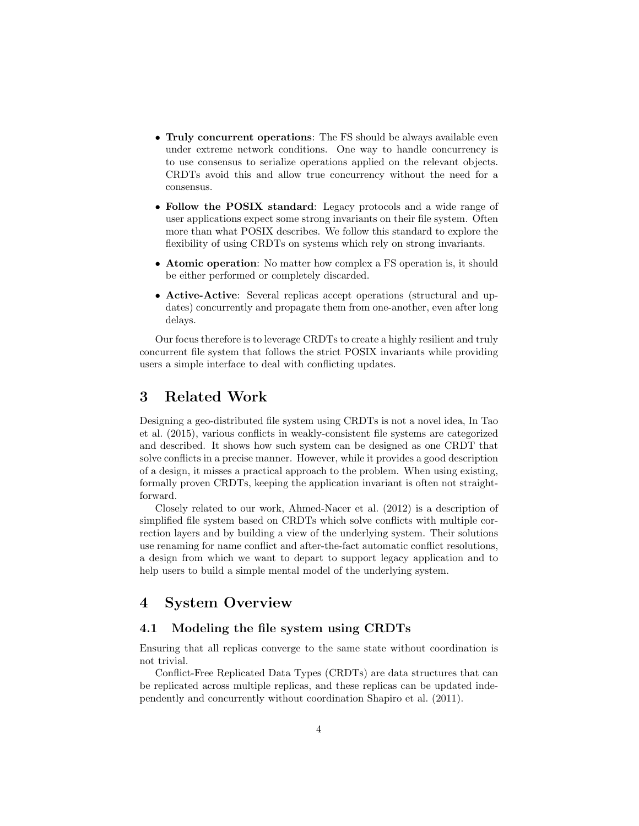- Truly concurrent operations: The FS should be always available even under extreme network conditions. One way to handle concurrency is to use consensus to serialize operations applied on the relevant objects. CRDTs avoid this and allow true concurrency without the need for a consensus.
- Follow the POSIX standard: Legacy protocols and a wide range of user applications expect some strong invariants on their file system. Often more than what POSIX describes. We follow this standard to explore the flexibility of using CRDTs on systems which rely on strong invariants.
- Atomic operation: No matter how complex a FS operation is, it should be either performed or completely discarded.
- Active-Active: Several replicas accept operations (structural and updates) concurrently and propagate them from one-another, even after long delays.

Our focus therefore is to leverage CRDTs to create a highly resilient and truly concurrent file system that follows the strict POSIX invariants while providing users a simple interface to deal with conflicting updates.

## 3 Related Work

Designing a geo-distributed file system using CRDTs is not a novel idea, In Tao et al. (2015), various conflicts in weakly-consistent file systems are categorized and described. It shows how such system can be designed as one CRDT that solve conflicts in a precise manner. However, while it provides a good description of a design, it misses a practical approach to the problem. When using existing, formally proven CRDTs, keeping the application invariant is often not straightforward.

Closely related to our work, Ahmed-Nacer et al. (2012) is a description of simplified file system based on CRDTs which solve conflicts with multiple correction layers and by building a view of the underlying system. Their solutions use renaming for name conflict and after-the-fact automatic conflict resolutions, a design from which we want to depart to support legacy application and to help users to build a simple mental model of the underlying system.

# 4 System Overview

### 4.1 Modeling the file system using CRDTs

Ensuring that all replicas converge to the same state without coordination is not trivial.

Conflict-Free Replicated Data Types (CRDTs) are data structures that can be replicated across multiple replicas, and these replicas can be updated independently and concurrently without coordination Shapiro et al. (2011).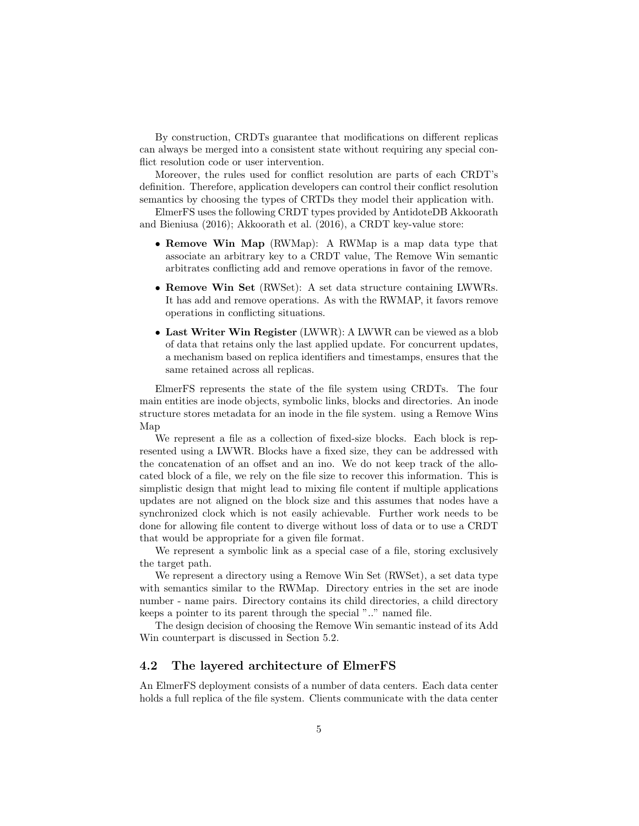By construction, CRDTs guarantee that modifications on different replicas can always be merged into a consistent state without requiring any special conflict resolution code or user intervention.

Moreover, the rules used for conflict resolution are parts of each CRDT's definition. Therefore, application developers can control their conflict resolution semantics by choosing the types of CRTDs they model their application with.

ElmerFS uses the following CRDT types provided by AntidoteDB Akkoorath and Bieniusa (2016); Akkoorath et al. (2016), a CRDT key-value store:

- Remove Win Map (RWMap): A RWMap is a map data type that associate an arbitrary key to a CRDT value, The Remove Win semantic arbitrates conflicting add and remove operations in favor of the remove.
- Remove Win Set (RWSet): A set data structure containing LWWRs. It has add and remove operations. As with the RWMAP, it favors remove operations in conflicting situations.
- Last Writer Win Register (LWWR): A LWWR can be viewed as a blob of data that retains only the last applied update. For concurrent updates, a mechanism based on replica identifiers and timestamps, ensures that the same retained across all replicas.

ElmerFS represents the state of the file system using CRDTs. The four main entities are inode objects, symbolic links, blocks and directories. An inode structure stores metadata for an inode in the file system. using a Remove Wins Map

We represent a file as a collection of fixed-size blocks. Each block is represented using a LWWR. Blocks have a fixed size, they can be addressed with the concatenation of an offset and an ino. We do not keep track of the allocated block of a file, we rely on the file size to recover this information. This is simplistic design that might lead to mixing file content if multiple applications updates are not aligned on the block size and this assumes that nodes have a synchronized clock which is not easily achievable. Further work needs to be done for allowing file content to diverge without loss of data or to use a CRDT that would be appropriate for a given file format.

We represent a symbolic link as a special case of a file, storing exclusively the target path.

We represent a directory using a Remove Win Set (RWSet), a set data type with semantics similar to the RWMap. Directory entries in the set are inode number - name pairs. Directory contains its child directories, a child directory keeps a pointer to its parent through the special ".." named file.

The design decision of choosing the Remove Win semantic instead of its Add Win counterpart is discussed in Section 5.2.

## 4.2 The layered architecture of ElmerFS

An ElmerFS deployment consists of a number of data centers. Each data center holds a full replica of the file system. Clients communicate with the data center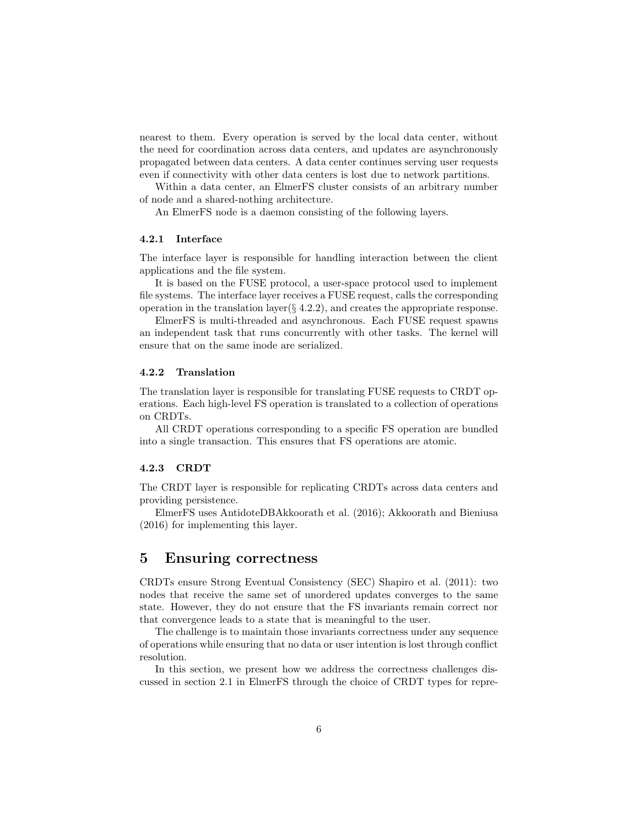nearest to them. Every operation is served by the local data center, without the need for coordination across data centers, and updates are asynchronously propagated between data centers. A data center continues serving user requests even if connectivity with other data centers is lost due to network partitions.

Within a data center, an ElmerFS cluster consists of an arbitrary number of node and a shared-nothing architecture.

An ElmerFS node is a daemon consisting of the following layers.

#### 4.2.1 Interface

The interface layer is responsible for handling interaction between the client applications and the file system.

It is based on the FUSE protocol, a user-space protocol used to implement file systems. The interface layer receives a FUSE request, calls the corresponding operation in the translation layer( $\S 4.2.2$ ), and creates the appropriate response.

ElmerFS is multi-threaded and asynchronous. Each FUSE request spawns an independent task that runs concurrently with other tasks. The kernel will ensure that on the same inode are serialized.

### 4.2.2 Translation

The translation layer is responsible for translating FUSE requests to CRDT operations. Each high-level FS operation is translated to a collection of operations on CRDTs.

All CRDT operations corresponding to a specific FS operation are bundled into a single transaction. This ensures that FS operations are atomic.

#### 4.2.3 CRDT

The CRDT layer is responsible for replicating CRDTs across data centers and providing persistence.

ElmerFS uses AntidoteDBAkkoorath et al. (2016); Akkoorath and Bieniusa (2016) for implementing this layer.

## 5 Ensuring correctness

CRDTs ensure Strong Eventual Consistency (SEC) Shapiro et al. (2011): two nodes that receive the same set of unordered updates converges to the same state. However, they do not ensure that the FS invariants remain correct nor that convergence leads to a state that is meaningful to the user.

The challenge is to maintain those invariants correctness under any sequence of operations while ensuring that no data or user intention is lost through conflict resolution.

In this section, we present how we address the correctness challenges discussed in section 2.1 in ElmerFS through the choice of CRDT types for repre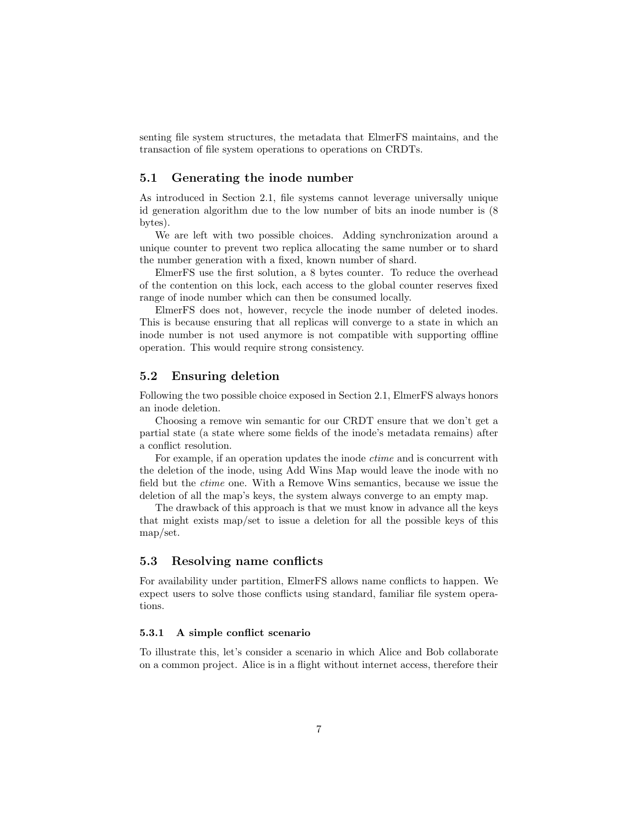senting file system structures, the metadata that ElmerFS maintains, and the transaction of file system operations to operations on CRDTs.

### 5.1 Generating the inode number

As introduced in Section 2.1, file systems cannot leverage universally unique id generation algorithm due to the low number of bits an inode number is (8 bytes).

We are left with two possible choices. Adding synchronization around a unique counter to prevent two replica allocating the same number or to shard the number generation with a fixed, known number of shard.

ElmerFS use the first solution, a 8 bytes counter. To reduce the overhead of the contention on this lock, each access to the global counter reserves fixed range of inode number which can then be consumed locally.

ElmerFS does not, however, recycle the inode number of deleted inodes. This is because ensuring that all replicas will converge to a state in which an inode number is not used anymore is not compatible with supporting offline operation. This would require strong consistency.

### 5.2 Ensuring deletion

Following the two possible choice exposed in Section 2.1, ElmerFS always honors an inode deletion.

Choosing a remove win semantic for our CRDT ensure that we don't get a partial state (a state where some fields of the inode's metadata remains) after a conflict resolution.

For example, if an operation updates the inode *ctime* and is concurrent with the deletion of the inode, using Add Wins Map would leave the inode with no field but the ctime one. With a Remove Wins semantics, because we issue the deletion of all the map's keys, the system always converge to an empty map.

The drawback of this approach is that we must know in advance all the keys that might exists map/set to issue a deletion for all the possible keys of this map/set.

### 5.3 Resolving name conflicts

For availability under partition, ElmerFS allows name conflicts to happen. We expect users to solve those conflicts using standard, familiar file system operations.

#### 5.3.1 A simple conflict scenario

To illustrate this, let's consider a scenario in which Alice and Bob collaborate on a common project. Alice is in a flight without internet access, therefore their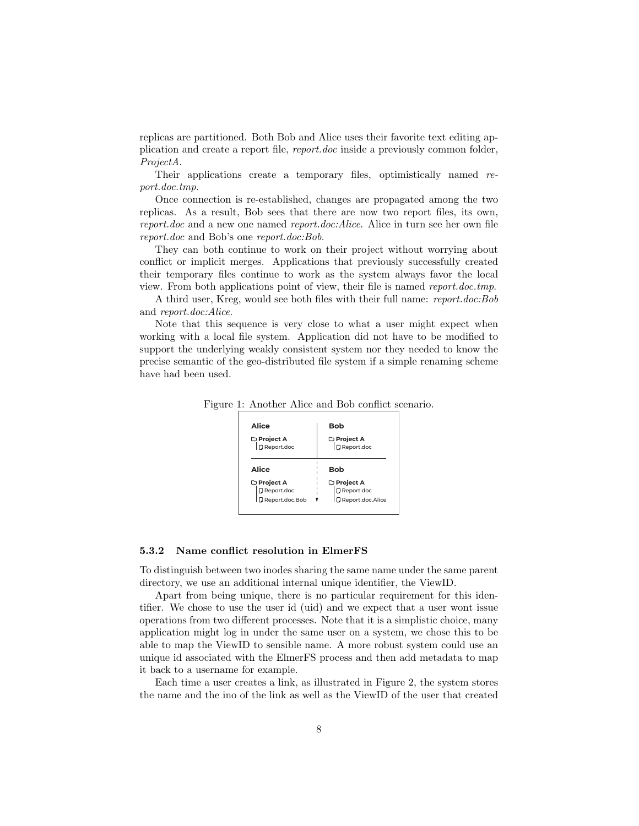replicas are partitioned. Both Bob and Alice uses their favorite text editing application and create a report file, report.doc inside a previously common folder, ProjectA.

Their applications create a temporary files, optimistically named report.doc.tmp.

Once connection is re-established, changes are propagated among the two replicas. As a result, Bob sees that there are now two report files, its own, report.doc and a new one named report.doc:Alice. Alice in turn see her own file report.doc and Bob's one report.doc:Bob.

They can both continue to work on their project without worrying about conflict or implicit merges. Applications that previously successfully created their temporary files continue to work as the system always favor the local view. From both applications point of view, their file is named report.doc.tmp.

A third user, Kreg, would see both files with their full name: report.doc:Bob and report.doc:Alice.

Note that this sequence is very close to what a user might expect when working with a local file system. Application did not have to be modified to support the underlying weakly consistent system nor they needed to know the precise semantic of the geo-distributed file system if a simple renaming scheme have had been used.

Figure 1: Another Alice and Bob conflict scenario.

| Alice               | Bob                 |
|---------------------|---------------------|
| □ Project A         | □ Project A         |
| <b>D</b> Report.doc | <b>D</b> Report.doc |
| Alice               | Bob                 |
| □ Project A         | □ Project A         |
| □ Report.doc        | Report.doc          |
| Report.doc.Bob      | Report.doc.Alice    |

### 5.3.2 Name conflict resolution in ElmerFS

To distinguish between two inodes sharing the same name under the same parent directory, we use an additional internal unique identifier, the ViewID.

Apart from being unique, there is no particular requirement for this identifier. We chose to use the user id (uid) and we expect that a user wont issue operations from two different processes. Note that it is a simplistic choice, many application might log in under the same user on a system, we chose this to be able to map the ViewID to sensible name. A more robust system could use an unique id associated with the ElmerFS process and then add metadata to map it back to a username for example.

Each time a user creates a link, as illustrated in Figure 2, the system stores the name and the ino of the link as well as the ViewID of the user that created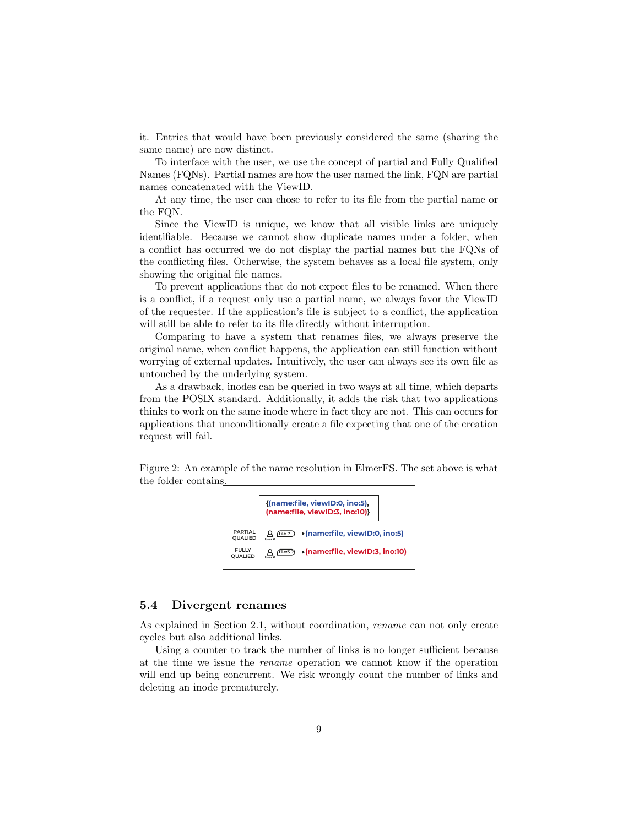it. Entries that would have been previously considered the same (sharing the same name) are now distinct.

To interface with the user, we use the concept of partial and Fully Qualified Names (FQNs). Partial names are how the user named the link, FQN are partial names concatenated with the ViewID.

At any time, the user can chose to refer to its file from the partial name or the FQN.

Since the ViewID is unique, we know that all visible links are uniquely identifiable. Because we cannot show duplicate names under a folder, when a conflict has occurred we do not display the partial names but the FQNs of the conflicting files. Otherwise, the system behaves as a local file system, only showing the original file names.

To prevent applications that do not expect files to be renamed. When there is a conflict, if a request only use a partial name, we always favor the ViewID of the requester. If the application's file is subject to a conflict, the application will still be able to refer to its file directly without interruption.

Comparing to have a system that renames files, we always preserve the original name, when conflict happens, the application can still function without worrying of external updates. Intuitively, the user can always see its own file as untouched by the underlying system.

As a drawback, inodes can be queried in two ways at all time, which departs from the POSIX standard. Additionally, it adds the risk that two applications thinks to work on the same inode where in fact they are not. This can occurs for applications that unconditionally create a file expecting that one of the creation request will fail.

Figure 2: An example of the name resolution in ElmerFS. The set above is what the folder contains.



#### 5.4 Divergent renames

As explained in Section 2.1, without coordination, rename can not only create cycles but also additional links.

Using a counter to track the number of links is no longer sufficient because at the time we issue the rename operation we cannot know if the operation will end up being concurrent. We risk wrongly count the number of links and deleting an inode prematurely.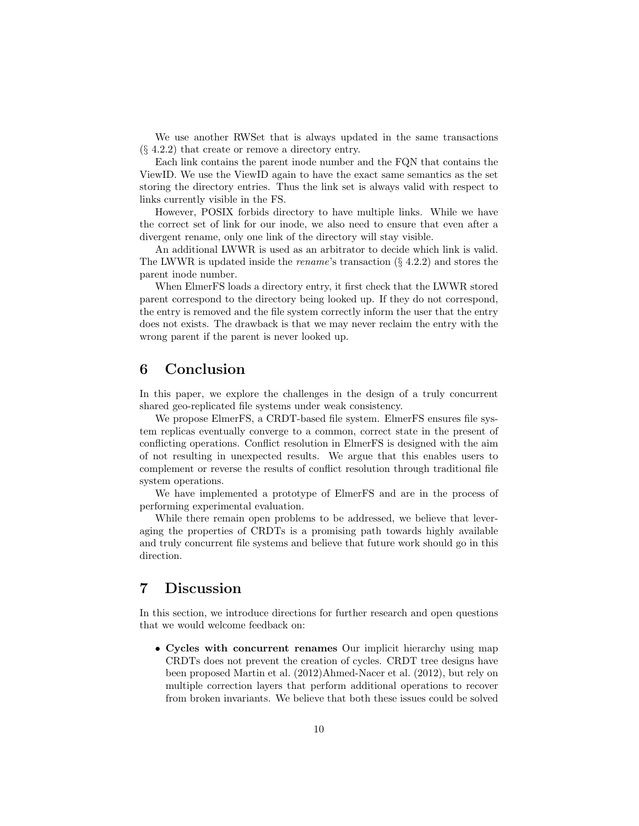We use another RWSet that is always updated in the same transactions (§ 4.2.2) that create or remove a directory entry.

Each link contains the parent inode number and the FQN that contains the ViewID. We use the ViewID again to have the exact same semantics as the set storing the directory entries. Thus the link set is always valid with respect to links currently visible in the FS.

However, POSIX forbids directory to have multiple links. While we have the correct set of link for our inode, we also need to ensure that even after a divergent rename, only one link of the directory will stay visible.

An additional LWWR is used as an arbitrator to decide which link is valid. The LWWR is updated inside the *rename*'s transaction  $(\S$  4.2.2) and stores the parent inode number.

When ElmerFS loads a directory entry, it first check that the LWWR stored parent correspond to the directory being looked up. If they do not correspond, the entry is removed and the file system correctly inform the user that the entry does not exists. The drawback is that we may never reclaim the entry with the wrong parent if the parent is never looked up.

# 6 Conclusion

In this paper, we explore the challenges in the design of a truly concurrent shared geo-replicated file systems under weak consistency.

We propose ElmerFS, a CRDT-based file system. ElmerFS ensures file system replicas eventually converge to a common, correct state in the present of conflicting operations. Conflict resolution in ElmerFS is designed with the aim of not resulting in unexpected results. We argue that this enables users to complement or reverse the results of conflict resolution through traditional file system operations.

We have implemented a prototype of ElmerFS and are in the process of performing experimental evaluation.

While there remain open problems to be addressed, we believe that leveraging the properties of CRDTs is a promising path towards highly available and truly concurrent file systems and believe that future work should go in this direction.

# 7 Discussion

In this section, we introduce directions for further research and open questions that we would welcome feedback on:

• Cycles with concurrent renames Our implicit hierarchy using map CRDTs does not prevent the creation of cycles. CRDT tree designs have been proposed Martin et al. (2012)Ahmed-Nacer et al. (2012), but rely on multiple correction layers that perform additional operations to recover from broken invariants. We believe that both these issues could be solved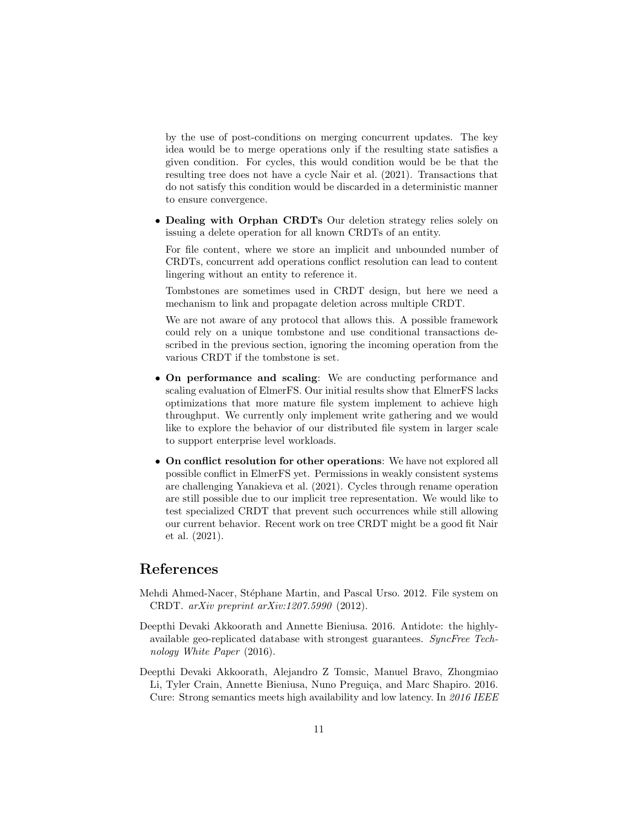by the use of post-conditions on merging concurrent updates. The key idea would be to merge operations only if the resulting state satisfies a given condition. For cycles, this would condition would be be that the resulting tree does not have a cycle Nair et al. (2021). Transactions that do not satisfy this condition would be discarded in a deterministic manner to ensure convergence.

• Dealing with Orphan CRDTs Our deletion strategy relies solely on issuing a delete operation for all known CRDTs of an entity.

For file content, where we store an implicit and unbounded number of CRDTs, concurrent add operations conflict resolution can lead to content lingering without an entity to reference it.

Tombstones are sometimes used in CRDT design, but here we need a mechanism to link and propagate deletion across multiple CRDT.

We are not aware of any protocol that allows this. A possible framework could rely on a unique tombstone and use conditional transactions described in the previous section, ignoring the incoming operation from the various CRDT if the tombstone is set.

- On performance and scaling: We are conducting performance and scaling evaluation of ElmerFS. Our initial results show that ElmerFS lacks optimizations that more mature file system implement to achieve high throughput. We currently only implement write gathering and we would like to explore the behavior of our distributed file system in larger scale to support enterprise level workloads.
- On conflict resolution for other operations: We have not explored all possible conflict in ElmerFS yet. Permissions in weakly consistent systems are challenging Yanakieva et al. (2021). Cycles through rename operation are still possible due to our implicit tree representation. We would like to test specialized CRDT that prevent such occurrences while still allowing our current behavior. Recent work on tree CRDT might be a good fit Nair et al. (2021).

# References

- Mehdi Ahmed-Nacer, Stéphane Martin, and Pascal Urso. 2012. File system on CRDT. arXiv preprint arXiv:1207.5990 (2012).
- Deepthi Devaki Akkoorath and Annette Bieniusa. 2016. Antidote: the highlyavailable geo-replicated database with strongest guarantees. SyncFree Technology White Paper (2016).
- Deepthi Devaki Akkoorath, Alejandro Z Tomsic, Manuel Bravo, Zhongmiao Li, Tyler Crain, Annette Bieniusa, Nuno Preguiça, and Marc Shapiro. 2016. Cure: Strong semantics meets high availability and low latency. In 2016 IEEE